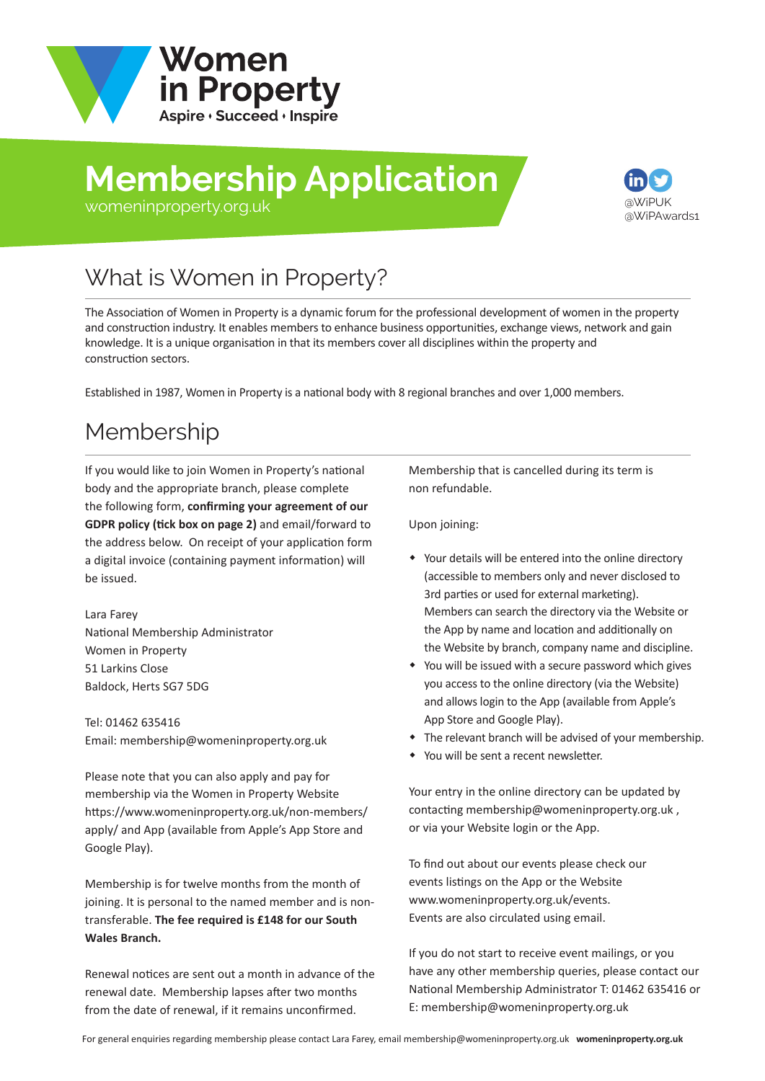

# **Membership Application**



#### [womeninproperty.org.uk](www.womeninproperty.org.uk)

# What is Women in Property?

The Association of Women in Property is a dynamic forum for the professional development of women in the property and construction industry. It enables members to enhance business opportunities, exchange views, network and gain knowledge. It is a unique organisation in that its members cover all disciplines within the property and construction sectors.

Established in 1987, Women in Property is a national body with 8 regional branches and over 1,000 members.

## Membership

If you would like to join Women in Property's national body and the appropriate branch, please complete the following form, **confirming your agreement of our GDPR policy (tick box on page 2)** and email/forward to the address below. On receipt of your application form a digital invoice (containing payment information) will be issued.

Lara Farey National Membership Administrator Women in Property 51 Larkins Close Baldock, Herts SG7 5DG

Tel: 01462 635416 Email: membership@womeninproperty.org.uk

Please note that you can also apply and pay for membership via the Women in Property Website [https://www.womeninproperty.org.uk/non-members](www.womeninproperty.org.uk/non-members/apply.aspx)/ apply/ and App (available from Apple's App Store and Google Play).

Membership is for twelve months from the month of joining. It is personal to the named member and is nontransferable. **The fee required is £148 for our South Wales Branch.**

Renewal notices are sent out a month in advance of the renewal date. Membership lapses after two months from the date of renewal, if it remains unconfirmed.

Membership that is cancelled during its term is non refundable.

Upon joining:

- Your details will be entered into the online directory (accessible to members only and never disclosed to 3rd parties or used for external marketing). Members can search the directory via the Website or the App by name and location and additionally on the Website by branch, company name and discipline.
- You will be issued with a secure password which gives you access to the online directory (via the Website) and allows login to the App (available from Apple's App Store and Google Play).
- The relevant branch will be advised of your membership.
- You will be sent a recent newsletter.

Your entry in the online directory can be updated by contacting membership@womeninproperty.org.uk , or via your Website login or the App.

To find out about our events please check our events listings on the App or the Website www.womeninproperty.org.uk/events. Events are also circulated using email.

If you do not start to receive event mailings, or you have any other membership queries, please contact our National Membership Adminis[trator T: 01462 635416 or](www.womeninproperty.org.uk)  E: membership@womeninproperty.org.uk